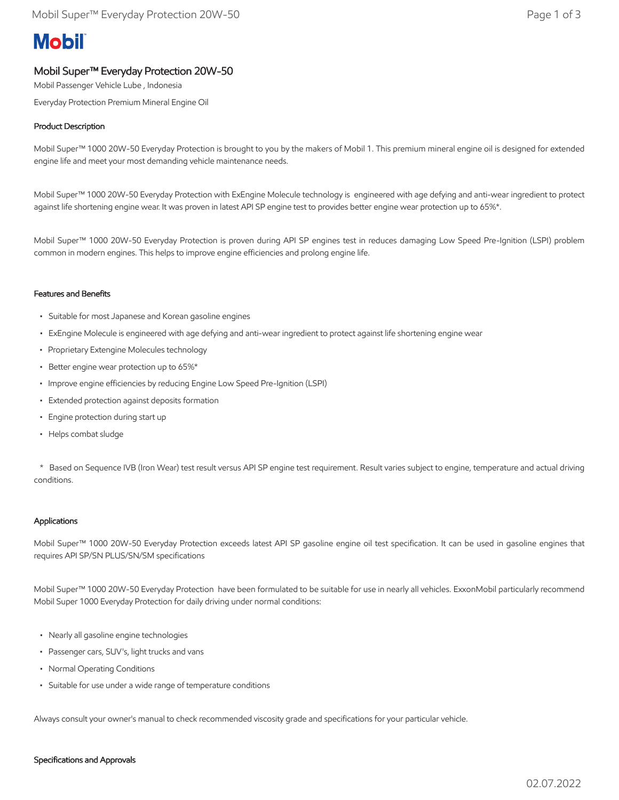# **Mobil**

## Mobil Super™ Everyday Protection 20W-50

Mobil Passenger Vehicle Lube , Indonesia

Everyday Protection Premium Mineral Engine Oil

### Product Description

Mobil Super™ 1000 20W-50 Everyday Protection is brought to you by the makers of Mobil 1. This premium mineral engine oil is designed for extended engine life and meet your most demanding vehicle maintenance needs.

Mobil Super™ 1000 20W-50 Everyday Protection with ExEngine Molecule technology is engineered with age defying and anti-wear ingredient to protect against life shortening engine wear. It was proven in latest API SP engine test to provides better engine wear protection up to 65%\*.

Mobil Super™ 1000 20W-50 Everyday Protection is proven during API SP engines test in reduces damaging Low Speed Pre-Ignition (LSPI) problem common in modern engines. This helps to improve engine efficiencies and prolong engine life.

#### Features and Benefits

- Suitable for most Japanese and Korean gasoline engines
- ExEngine Molecule is engineered with age defying and anti-wear ingredient to protect against life shortening engine wear
- Proprietary Extengine Molecules technology
- Better engine wear protection up to 65%\*
- Improve engine efficiencies by reducing Engine Low Speed Pre-Ignition (LSPI)
- Extended protection against deposits formation
- Engine protection during start up
- Helps combat sludge

 \* Based on Sequence IVB (Iron Wear) test result versus API SP engine test requirement. Result varies subject to engine, temperature and actual driving conditions.

#### Applications

Mobil Super™ 1000 20W-50 Everyday Protection exceeds latest API SP gasoline engine oil test specification. It can be used in gasoline engines that requires API SP/SN PLUS/SN/SM specifications

Mobil Super™ 1000 20W-50 Everyday Protection have been formulated to be suitable for use in nearly all vehicles. ExxonMobil particularly recommend Mobil Super 1000 Everyday Protection for daily driving under normal conditions:

- Nearly all gasoline engine technologies
- Passenger cars, SUV's, light trucks and vans
- Normal Operating Conditions
- Suitable for use under a wide range of temperature conditions

Always consult your owner's manual to check recommended viscosity grade and specifications for your particular vehicle.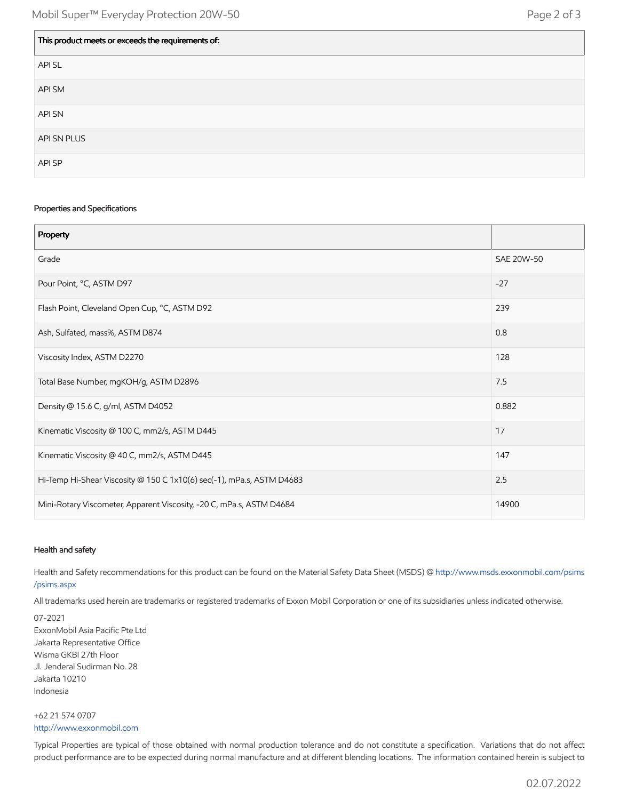| This product meets or exceeds the requirements of: |
|----------------------------------------------------|
| API SL                                             |
| API SM                                             |
| API SN                                             |
| API SN PLUS                                        |
| API SP                                             |

#### Properties and Specifications

| Property                                                              |            |
|-----------------------------------------------------------------------|------------|
| Grade                                                                 | SAE 20W-50 |
| Pour Point, °C, ASTM D97                                              | $-27$      |
| Flash Point, Cleveland Open Cup, °C, ASTM D92                         | 239        |
| Ash, Sulfated, mass%, ASTM D874                                       | 0.8        |
| Viscosity Index, ASTM D2270                                           | 128        |
| Total Base Number, mgKOH/g, ASTM D2896                                | 7.5        |
| Density @ 15.6 C, g/ml, ASTM D4052                                    | 0.882      |
| Kinematic Viscosity @ 100 C, mm2/s, ASTM D445                         | 17         |
| Kinematic Viscosity @ 40 C, mm2/s, ASTM D445                          | 147        |
| Hi-Temp Hi-Shear Viscosity @ 150 C 1x10(6) sec(-1), mPa.s, ASTM D4683 | 2.5        |
| Mini-Rotary Viscometer, Apparent Viscosity, -20 C, mPa.s, ASTM D4684  | 14900      |

#### Health and safety

Health and Safety recommendations for this product can be found on the Material Safety Data Sheet (MSDS) @ [http://www.msds.exxonmobil.com/psims](http://www.msds.exxonmobil.com/psims/psims.aspx) /psims.aspx

All trademarks used herein are trademarks or registered trademarks of Exxon Mobil Corporation or one of its subsidiaries unless indicated otherwise.

07-2021 ExxonMobil Asia Pacific Pte Ltd Jakarta Representative Office Wisma GKBI 27th Floor Jl. Jenderal Sudirman No. 28 Jakarta 10210 Indonesia

+62 21 574 0707 [http://www.exxonmobil.com](http://www.exxonmobil.com/)

Typical Properties are typical of those obtained with normal production tolerance and do not constitute a specification. Variations that do not affect product performance are to be expected during normal manufacture and at different blending locations. The information contained herein is subject to